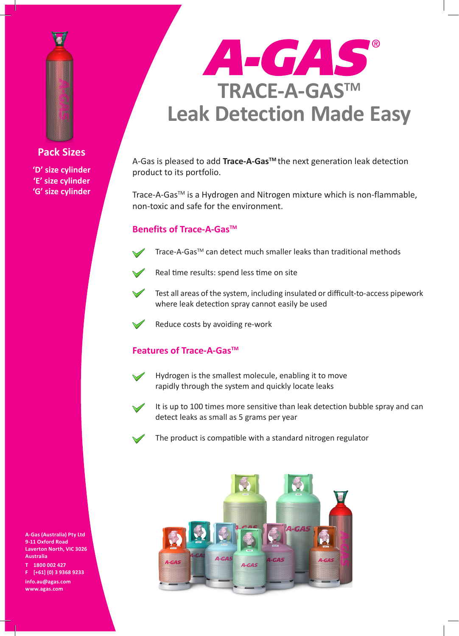

**Pack Sizes 'D' size cylinder 'E' size cylinder**

**'G' size cylinder**



A-Gas is pleased to add **Trace-A-GasTM** the next generation leak detection product to its portfolio.

Trace-A-Gas<sup>™</sup> is a Hydrogen and Nitrogen mixture which is non-flammable, non-toxic and safe for the environment.

## **Benefits of Trace-A-Gas™**



- 
- Real time results: spend less time on site



Test all areas of the system, including insulated or difficult-to-access pipework where leak detection spray cannot easily be used



Reduce costs by avoiding re-work

## **Features of Trace-A-Gas™**



Hydrogen is the smallest molecule, enabling it to move rapidly through the system and quickly locate leaks



It is up to 100 times more sensitive than leak detection bubble spray and can detect leaks as small as 5 grams per year

The product is compatible with a standard nitrogen regulator



**A-Gas (Australia) Pty Ltd 9-11 Oxford Road Laverton North, VIC 3026 Australia**

**T 1800 002 427 F [+61] (0) 3 9368 9233 info.au@agas.com www.agas.com**